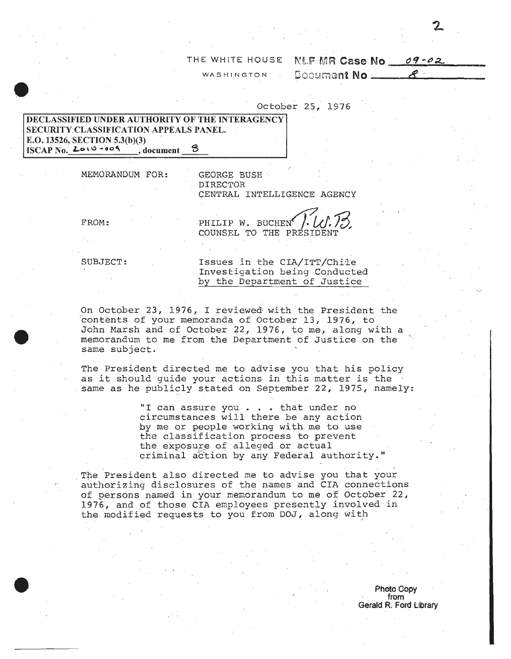## THE WHITE HOUSE NLF MR Case No 09-02

WASHINGTON

October 25, 1976

## DECLASSIFIED UNDER AUTHORITY OF THE INTERAGENCY SECURITY CLASSIFICATION APPEALS PANEL. E.O. 13526, SECTION 5.3(b)(3) ISCAP No.  $2010 - 009$ , document

MEMORANDUM FOR:

GEORGE BUSH **DIRECTOR** CENTRAL INTELLIGENCE AGENCY

FROM:

PHILIP W. BUCHEN COUNSEL TO THE PRESIDENT

SUBJECT:

Issues in the CIA/ITT/Chile Investigation being Conducted by the Department of Justice

On October 23, 1976, I reviewed with the President the contents of your memoranda of October 13, 1976, to John Marsh and of October 22, 1976, to me, along with a memorandum to me from the Department of Justice on the same subject.

The President directed me to advise you that his policy as it should guide your actions in this matter is the same as he publicly stated on September 22, 1975, namely:

> "I can assure you . . . that under no circumstances will there be any action by me or people working with me to use the classification process to prevent the exposure of alleged or actual criminal action by any Federal authority."

The President also directed me to advise you that your authorizing disclosures of the names and CIA connections of persons named in your memorandum to me of October 22, 1976, and of those CIA employees presently involved in the modified requests to you from DOJ, along with

> Photo Gopy from Gerald R. Ford Library